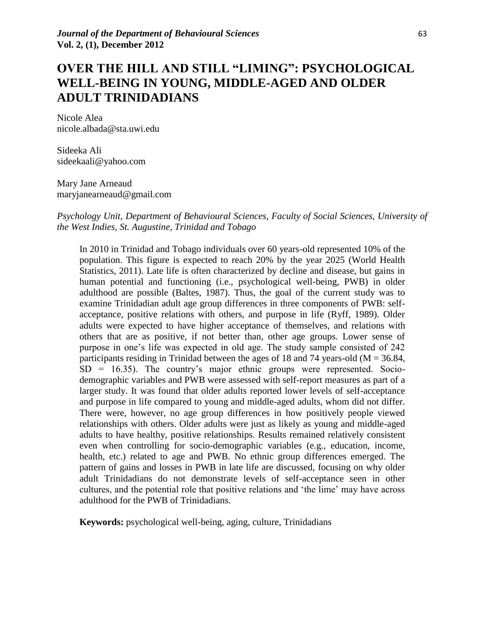# **OVER THE HILL AND STILL "LIMING": PSYCHOLOGICAL WELL-BEING IN YOUNG, MIDDLE-AGED AND OLDER ADULT TRINIDADIANS**

Nicole Alea nicole.albada@sta.uwi.edu

Sideeka Ali sideekaali@yahoo.com

Mary Jane Arneaud maryjanearneaud@gmail.com

*Psychology Unit, Department of Behavioural Sciences, Faculty of Social Sciences, University of the West Indies, St. Augustine, Trinidad and Tobago*

In 2010 in Trinidad and Tobago individuals over 60 years-old represented 10% of the population. This figure is expected to reach 20% by the year 2025 (World Health Statistics, 2011). Late life is often characterized by decline and disease, but gains in human potential and functioning (i.e., psychological well-being, PWB) in older adulthood are possible (Baltes, 1987). Thus, the goal of the current study was to examine Trinidadian adult age group differences in three components of PWB: selfacceptance, positive relations with others, and purpose in life (Ryff, 1989). Older adults were expected to have higher acceptance of themselves, and relations with others that are as positive, if not better than, other age groups. Lower sense of purpose in one"s life was expected in old age. The study sample consisted of 242 participants residing in Trinidad between the ages of 18 and 74 years-old ( $M = 36.84$ ,  $SD = 16.35$ ). The country's major ethnic groups were represented. Sociodemographic variables and PWB were assessed with self-report measures as part of a larger study. It was found that older adults reported lower levels of self-acceptance and purpose in life compared to young and middle-aged adults, whom did not differ. There were, however, no age group differences in how positively people viewed relationships with others. Older adults were just as likely as young and middle-aged adults to have healthy, positive relationships. Results remained relatively consistent even when controlling for socio-demographic variables (e.g., education, income, health, etc.) related to age and PWB. No ethnic group differences emerged. The pattern of gains and losses in PWB in late life are discussed, focusing on why older adult Trinidadians do not demonstrate levels of self-acceptance seen in other cultures, and the potential role that positive relations and "the lime" may have across adulthood for the PWB of Trinidadians.

**Keywords:** psychological well-being, aging, culture, Trinidadians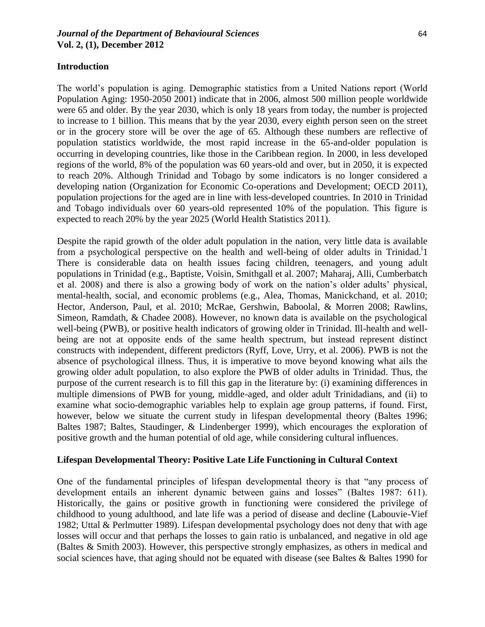### *Journal of the Department of Behavioural Sciences* 64 **Vol. 2, (1), December 2012**

The world"s population is aging. Demographic statistics from a United Nations report (World Population Aging: 1950-2050 2001) indicate that in 2006, almost 500 million people worldwide were 65 and older. By the year 2030, which is only 18 years from today, the number is projected to increase to 1 billion. This means that by the year 2030, every eighth person seen on the street or in the grocery store will be over the age of 65. Although these numbers are reflective of population statistics worldwide, the most rapid increase in the 65-and-older population is

occurring in developing countries, like those in the Caribbean region. In 2000, in less developed regions of the world, 8% of the population was 60 years-old and over, but in 2050, it is expected to reach 20%. Although Trinidad and Tobago by some indicators is no longer considered a developing nation (Organization for Economic Co-operations and Development; OECD 2011), population projections for the aged are in line with less-developed countries. In 2010 in Trinidad and Tobago individuals over 60 years-old represented 10% of the population. This figure is expected to reach 20% by the year 2025 (World Health Statistics 2011).

Despite the rapid growth of the older adult population in the nation, very little data is available from a psychological perspective on the health and well-being of older adults in Trinidad.<sup>1</sup>1 There is considerable data on health issues facing children, teenagers, and young adult populations in Trinidad (e.g., Baptiste, Voisin, Smithgall et al. 2007; Maharaj, Alli, Cumberbatch et al. 2008) and there is also a growing body of work on the nation"s older adults" physical, mental-health, social, and economic problems (e.g., Alea, Thomas, Manickchand, et al. 2010; Hector, Anderson, Paul, et al. 2010; McRae, Gershwin, Baboolal, & Morren 2008; Rawlins, Simeon, Ramdath, & Chadee 2008). However, no known data is available on the psychological well-being (PWB), or positive health indicators of growing older in Trinidad. Ill-health and wellbeing are not at opposite ends of the same health spectrum, but instead represent distinct constructs with independent, different predictors (Ryff, Love, Urry, et al. 2006). PWB is not the absence of psychological illness. Thus, it is imperative to move beyond knowing what ails the growing older adult population, to also explore the PWB of older adults in Trinidad. Thus, the purpose of the current research is to fill this gap in the literature by: (i) examining differences in multiple dimensions of PWB for young, middle-aged, and older adult Trinidadians, and (ii) to examine what socio-demographic variables help to explain age group patterns, if found. First, however, below we situate the current study in lifespan developmental theory (Baltes 1996; Baltes 1987; Baltes, Staudinger, & Lindenberger 1999), which encourages the exploration of positive growth and the human potential of old age, while considering cultural influences.

### **Lifespan Developmental Theory: Positive Late Life Functioning in Cultural Context**

One of the fundamental principles of lifespan developmental theory is that "any process of development entails an inherent dynamic between gains and losses" (Baltes 1987: 611). Historically, the gains or positive growth in functioning were considered the privilege of childhood to young adulthood, and late life was a period of disease and decline (Labouvie-Vief 1982; Uttal & Perlmutter 1989). Lifespan developmental psychology does not deny that with age losses will occur and that perhaps the losses to gain ratio is unbalanced, and negative in old age (Baltes & Smith 2003). However, this perspective strongly emphasizes, as others in medical and social sciences have, that aging should not be equated with disease (see Baltes & Baltes 1990 for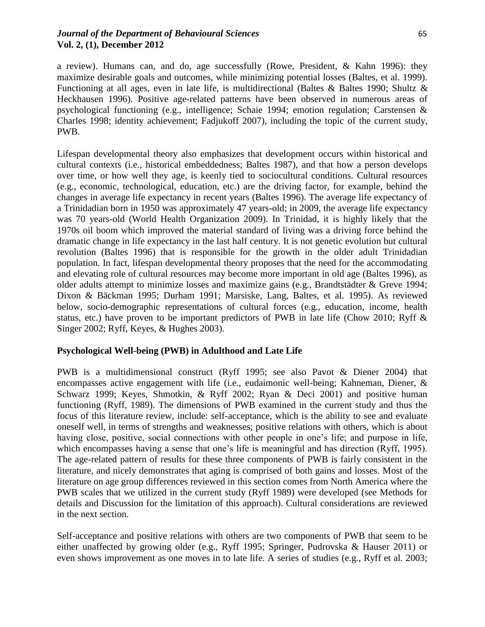a review). Humans can, and do, age successfully (Rowe, President, & Kahn 1996): they maximize desirable goals and outcomes, while minimizing potential losses (Baltes, et al. 1999). Functioning at all ages, even in late life, is multidirectional (Baltes & Baltes 1990; Shultz & Heckhausen 1996). Positive age-related patterns have been observed in numerous areas of psychological functioning (e.g., intelligence; Schaie 1994; emotion regulation; Carstensen & Charles 1998; identity achievement; Fadjukoff 2007), including the topic of the current study, PWB.

Lifespan developmental theory also emphasizes that development occurs within historical and cultural contexts (i.e., historical embeddedness; Baltes 1987), and that how a person develops over time, or how well they age, is keenly tied to sociocultural conditions. Cultural resources (e.g., economic, technological, education, etc.) are the driving factor, for example, behind the changes in average life expectancy in recent years (Baltes 1996). The average life expectancy of a Trinidadian born in 1950 was approximately 47 years-old; in 2009, the average life expectancy was 70 years-old (World Health Organization 2009). In Trinidad, it is highly likely that the 1970s oil boom which improved the material standard of living was a driving force behind the dramatic change in life expectancy in the last half century. It is not genetic evolution but cultural revolution (Baltes 1996) that is responsible for the growth in the older adult Trinidadian population. In fact, lifespan developmental theory proposes that the need for the accommodating and elevating role of cultural resources may become more important in old age (Baltes 1996), as older adults attempt to minimize losses and maximize gains (e.g., Brandtstädter & Greve 1994; Dixon & Bäckman 1995; Durham 1991; Marsiske, Lang, Baltes, et al. 1995). As reviewed below, socio-demographic representations of cultural forces (e.g., education, income, health status, etc.) have proven to be important predictors of PWB in late life (Chow 2010; Ryff & Singer 2002; Ryff, Keyes, & Hughes 2003).

# **Psychological Well-being (PWB) in Adulthood and Late Life**

PWB is a multidimensional construct (Ryff 1995; see also Pavot & Diener 2004) that encompasses active engagement with life (i.e., eudaimonic well-being; Kahneman, Diener, & Schwarz 1999; Keyes, Shmotkin, & Ryff 2002; Ryan & Deci 2001) and positive human functioning (Ryff, 1989). The dimensions of PWB examined in the current study and thus the focus of this literature review, include: self-acceptance, which is the ability to see and evaluate oneself well, in terms of strengths and weaknesses; positive relations with others, which is about having close, positive, social connections with other people in one's life; and purpose in life, which encompasses having a sense that one's life is meaningful and has direction (Ryff, 1995). The age-related pattern of results for these three components of PWB is fairly consistent in the literature, and nicely demonstrates that aging is comprised of both gains and losses. Most of the literature on age group differences reviewed in this section comes from North America where the PWB scales that we utilized in the current study (Ryff 1989) were developed (see Methods for details and Discussion for the limitation of this approach). Cultural considerations are reviewed in the next section.

Self-acceptance and positive relations with others are two components of PWB that seem to be either unaffected by growing older (e.g., Ryff 1995; Springer, Pudrovska & Hauser 2011) or even shows improvement as one moves in to late life. A series of studies (e.g., Ryff et al. 2003;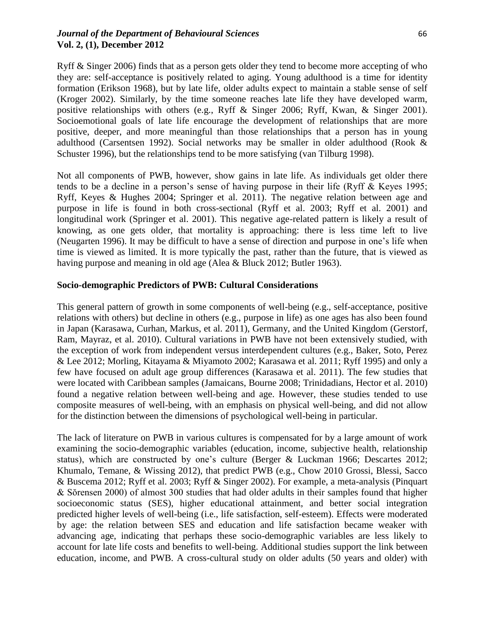### *Journal of the Department of Behavioural Sciences* 66 **Vol. 2, (1), December 2012**

Ryff & Singer 2006) finds that as a person gets older they tend to become more accepting of who they are: self-acceptance is positively related to aging. Young adulthood is a time for identity formation (Erikson 1968), but by late life, older adults expect to maintain a stable sense of self (Kroger 2002). Similarly, by the time someone reaches late life they have developed warm, positive relationships with others (e.g., Ryff & Singer 2006; Ryff, Kwan, & Singer 2001). Socioemotional goals of late life encourage the development of relationships that are more positive, deeper, and more meaningful than those relationships that a person has in young adulthood (Carsentsen 1992). Social networks may be smaller in older adulthood (Rook & Schuster 1996), but the relationships tend to be more satisfying (van Tilburg 1998).

Not all components of PWB, however, show gains in late life. As individuals get older there tends to be a decline in a person"s sense of having purpose in their life (Ryff & Keyes 1995; Ryff, Keyes & Hughes 2004; Springer et al. 2011). The negative relation between age and purpose in life is found in both cross-sectional (Ryff et al. 2003; Ryff et al. 2001) and longitudinal work (Springer et al. 2001). This negative age-related pattern is likely a result of knowing, as one gets older, that mortality is approaching: there is less time left to live (Neugarten 1996). It may be difficult to have a sense of direction and purpose in one"s life when time is viewed as limited. It is more typically the past, rather than the future, that is viewed as having purpose and meaning in old age (Alea & Bluck 2012; Butler 1963).

### **Socio-demographic Predictors of PWB: Cultural Considerations**

This general pattern of growth in some components of well-being (e.g., self-acceptance, positive relations with others) but decline in others (e.g., purpose in life) as one ages has also been found in Japan (Karasawa, Curhan, Markus, et al. 2011), Germany, and the United Kingdom (Gerstorf, Ram, Mayraz, et al. 2010). Cultural variations in PWB have not been extensively studied, with the exception of work from independent versus interdependent cultures (e.g., Baker, Soto, Perez & Lee 2012; Morling, Kitayama & Miyamoto 2002; Karasawa et al. 2011; Ryff 1995) and only a few have focused on adult age group differences (Karasawa et al. 2011). The few studies that were located with Caribbean samples (Jamaicans, Bourne 2008; Trinidadians, Hector et al. 2010) found a negative relation between well-being and age. However, these studies tended to use composite measures of well-being, with an emphasis on physical well-being, and did not allow for the distinction between the dimensions of psychological well-being in particular.

The lack of literature on PWB in various cultures is compensated for by a large amount of work examining the socio-demographic variables (education, income, subjective health, relationship status), which are constructed by one's culture (Berger & Luckman 1966; Descartes 2012; Khumalo, Temane, & Wissing 2012), that predict PWB (e.g., Chow 2010 Grossi, Blessi, Sacco & Buscema 2012; Ryff et al. 2003; Ryff & Singer 2002). For example, a meta-analysis (Pinquart & Sŏrensen 2000) of almost 300 studies that had older adults in their samples found that higher socioeconomic status (SES), higher educational attainment, and better social integration predicted higher levels of well-being (i.e., life satisfaction, self-esteem). Effects were moderated by age: the relation between SES and education and life satisfaction became weaker with advancing age, indicating that perhaps these socio-demographic variables are less likely to account for late life costs and benefits to well-being. Additional studies support the link between education, income, and PWB. A cross-cultural study on older adults (50 years and older) with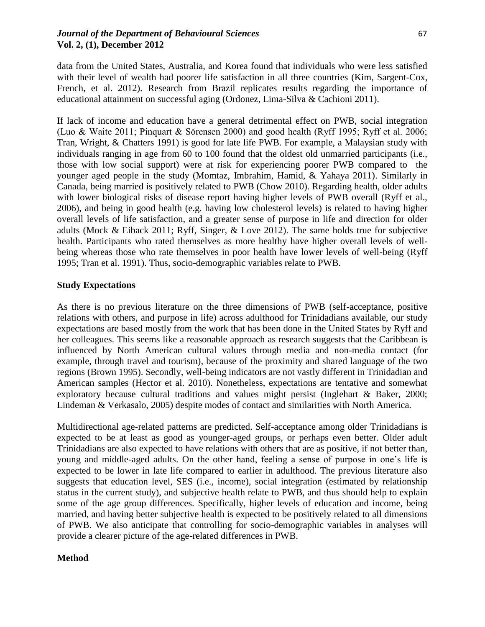# *Journal of the Department of Behavioural Sciences* 67 **Vol. 2, (1), December 2012**

data from the United States, Australia, and Korea found that individuals who were less satisfied with their level of wealth had poorer life satisfaction in all three countries (Kim, Sargent-Cox, French, et al. 2012). Research from Brazil replicates results regarding the importance of educational attainment on successful aging (Ordonez, Lima-Silva & Cachioni 2011).

If lack of income and education have a general detrimental effect on PWB, social integration (Luo & Waite 2011; Pinquart & Sŏrensen 2000) and good health (Ryff 1995; Ryff et al. 2006; Tran, Wright, & Chatters 1991) is good for late life PWB. For example, a Malaysian study with individuals ranging in age from 60 to 100 found that the oldest old unmarried participants (i.e., those with low social support) were at risk for experiencing poorer PWB compared to the younger aged people in the study (Momtaz, Imbrahim, Hamid, & Yahaya 2011). Similarly in Canada, being married is positively related to PWB (Chow 2010). Regarding health, older adults with lower biological risks of disease report having higher levels of PWB overall (Ryff et al., 2006), and being in good health (e.g. having low cholesterol levels) is related to having higher overall levels of life satisfaction, and a greater sense of purpose in life and direction for older adults (Mock & Eiback 2011; Ryff, Singer, & Love 2012). The same holds true for subjective health. Participants who rated themselves as more healthy have higher overall levels of wellbeing whereas those who rate themselves in poor health have lower levels of well-being (Ryff 1995; Tran et al. 1991). Thus, socio-demographic variables relate to PWB.

# **Study Expectations**

As there is no previous literature on the three dimensions of PWB (self-acceptance, positive relations with others, and purpose in life) across adulthood for Trinidadians available, our study expectations are based mostly from the work that has been done in the United States by Ryff and her colleagues. This seems like a reasonable approach as research suggests that the Caribbean is influenced by North American cultural values through media and non-media contact (for example, through travel and tourism), because of the proximity and shared language of the two regions (Brown 1995). Secondly, well-being indicators are not vastly different in Trinidadian and American samples (Hector et al. 2010). Nonetheless, expectations are tentative and somewhat exploratory because cultural traditions and values might persist (Inglehart & Baker, 2000; Lindeman & Verkasalo, 2005) despite modes of contact and similarities with North America.

Multidirectional age-related patterns are predicted. Self-acceptance among older Trinidadians is expected to be at least as good as younger-aged groups, or perhaps even better. Older adult Trinidadians are also expected to have relations with others that are as positive, if not better than, young and middle-aged adults. On the other hand, feeling a sense of purpose in one"s life is expected to be lower in late life compared to earlier in adulthood. The previous literature also suggests that education level, SES (i.e., income), social integration (estimated by relationship status in the current study), and subjective health relate to PWB, and thus should help to explain some of the age group differences. Specifically, higher levels of education and income, being married, and having better subjective health is expected to be positively related to all dimensions of PWB. We also anticipate that controlling for socio-demographic variables in analyses will provide a clearer picture of the age-related differences in PWB.

# **Method**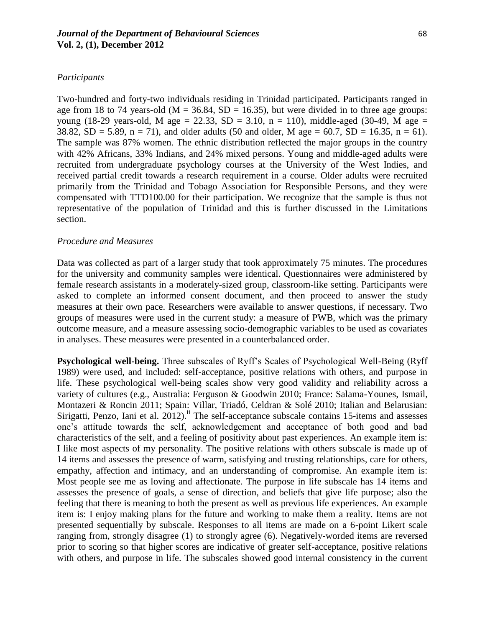### *Journal of the Department of Behavioural Sciences* 68 **Vol. 2, (1), December 2012**

#### *Participants*

Two-hundred and forty-two individuals residing in Trinidad participated. Participants ranged in age from 18 to 74 years-old ( $M = 36.84$ ,  $SD = 16.35$ ), but were divided in to three age groups: young (18-29 years-old, M age = 22.33, SD = 3.10, n = 110), middle-aged (30-49, M age = 38.82, SD = 5.89, n = 71), and older adults (50 and older, M age = 60.7, SD = 16.35, n = 61). The sample was 87% women. The ethnic distribution reflected the major groups in the country with 42% Africans, 33% Indians, and 24% mixed persons. Young and middle-aged adults were recruited from undergraduate psychology courses at the University of the West Indies, and received partial credit towards a research requirement in a course. Older adults were recruited primarily from the Trinidad and Tobago Association for Responsible Persons, and they were compensated with TTD100.00 for their participation. We recognize that the sample is thus not representative of the population of Trinidad and this is further discussed in the Limitations section.

#### *Procedure and Measures*

Data was collected as part of a larger study that took approximately 75 minutes. The procedures for the university and community samples were identical. Questionnaires were administered by female research assistants in a moderately-sized group, classroom-like setting. Participants were asked to complete an informed consent document, and then proceed to answer the study measures at their own pace. Researchers were available to answer questions, if necessary. Two groups of measures were used in the current study: a measure of PWB, which was the primary outcome measure, and a measure assessing socio-demographic variables to be used as covariates in analyses. These measures were presented in a counterbalanced order.

**Psychological well-being.** Three subscales of Ryff"s Scales of Psychological Well-Being (Ryff 1989) were used, and included: self-acceptance, positive relations with others, and purpose in life. These psychological well-being scales show very good validity and reliability across a variety of cultures (e.g., Australia: Ferguson & Goodwin 2010; France: Salama-Younes, Ismail, Montazeri & Roncin 2011; Spain: Villar, Triadó, Celdran & Solé 2010; Italian and Belarusian: Sirigatti, Penzo, Iani et al.  $2012$ ).<sup>ii</sup> The self-acceptance subscale contains 15-items and assesses one"s attitude towards the self, acknowledgement and acceptance of both good and bad characteristics of the self, and a feeling of positivity about past experiences. An example item is: I like most aspects of my personality. The positive relations with others subscale is made up of 14 items and assesses the presence of warm, satisfying and trusting relationships, care for others, empathy, affection and intimacy, and an understanding of compromise. An example item is: Most people see me as loving and affectionate. The purpose in life subscale has 14 items and assesses the presence of goals, a sense of direction, and beliefs that give life purpose; also the feeling that there is meaning to both the present as well as previous life experiences. An example item is: I enjoy making plans for the future and working to make them a reality. Items are not presented sequentially by subscale. Responses to all items are made on a 6-point Likert scale ranging from, strongly disagree (1) to strongly agree (6). Negatively-worded items are reversed prior to scoring so that higher scores are indicative of greater self-acceptance, positive relations with others, and purpose in life. The subscales showed good internal consistency in the current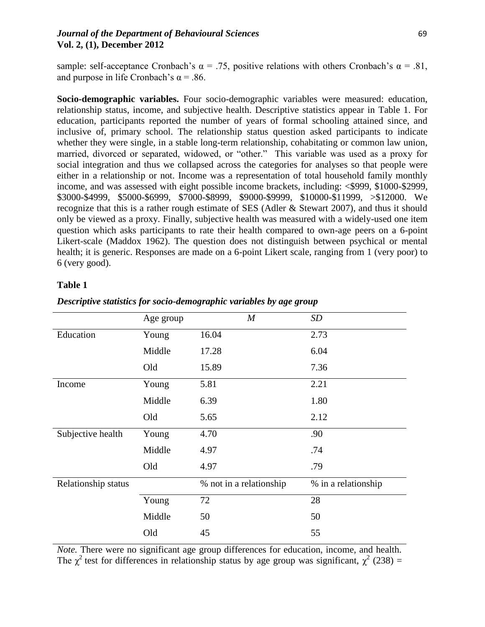### *Journal of the Department of Behavioural Sciences* 69 **Vol. 2, (1), December 2012**

sample: self-acceptance Cronbach's  $\alpha = .75$ , positive relations with others Cronbach's  $\alpha = .81$ , and purpose in life Cronbach's  $\alpha$  = .86.

**Socio-demographic variables.** Four socio-demographic variables were measured: education, relationship status, income, and subjective health. Descriptive statistics appear in Table 1. For education, participants reported the number of years of formal schooling attained since, and inclusive of, primary school. The relationship status question asked participants to indicate whether they were single, in a stable long-term relationship, cohabitating or common law union, married, divorced or separated, widowed, or "other." This variable was used as a proxy for social integration and thus we collapsed across the categories for analyses so that people were either in a relationship or not. Income was a representation of total household family monthly income, and was assessed with eight possible income brackets, including: <\$999, \$1000-\$2999, \$3000-\$4999, \$5000-\$6999, \$7000-\$8999, \$9000-\$9999, \$10000-\$11999, >\$12000. We recognize that this is a rather rough estimate of SES (Adler & Stewart 2007), and thus it should only be viewed as a proxy. Finally, subjective health was measured with a widely-used one item question which asks participants to rate their health compared to own-age peers on a 6-point Likert-scale (Maddox 1962). The question does not distinguish between psychical or mental health; it is generic. Responses are made on a 6-point Likert scale, ranging from 1 (very poor) to 6 (very good).

#### **Table 1**

|                     | Age group | $\boldsymbol{M}$        | SD                  |
|---------------------|-----------|-------------------------|---------------------|
| Education           | Young     | 16.04                   | 2.73                |
|                     | Middle    | 17.28                   | 6.04                |
|                     | Old       | 15.89                   | 7.36                |
| Income              | Young     | 5.81                    | 2.21                |
|                     | Middle    | 6.39                    | 1.80                |
|                     | Old       | 5.65                    | 2.12                |
| Subjective health   | Young     | 4.70                    | .90                 |
|                     | Middle    | 4.97                    | .74                 |
|                     | Old       | 4.97                    | .79                 |
| Relationship status |           | % not in a relationship | % in a relationship |
|                     | Young     | 72                      | 28                  |
|                     | Middle    | 50                      | 50                  |
|                     | Old       | 45                      | 55                  |

#### *Descriptive statistics for socio-demographic variables by age group*

*Note.* There were no significant age group differences for education, income, and health. The  $\chi^2$  test for differences in relationship status by age group was significant,  $\chi^2$  (238) =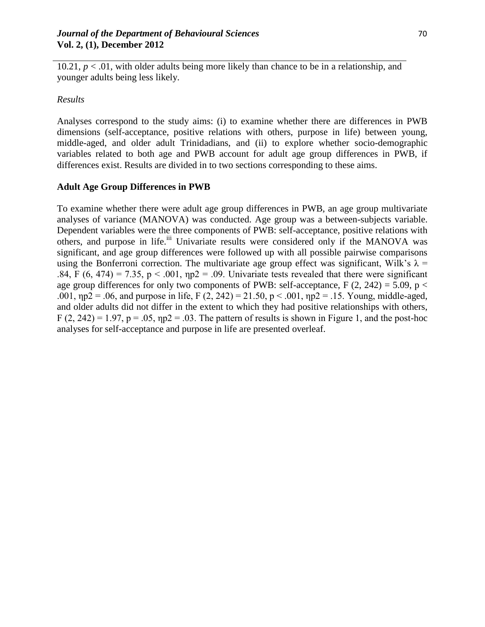$10.21, p < 0.01$ , with older adults being more likely than chance to be in a relationship, and younger adults being less likely.

### *Results*

Analyses correspond to the study aims: (i) to examine whether there are differences in PWB dimensions (self-acceptance, positive relations with others, purpose in life) between young, middle-aged, and older adult Trinidadians, and (ii) to explore whether socio-demographic variables related to both age and PWB account for adult age group differences in PWB, if differences exist. Results are divided in to two sections corresponding to these aims.

### **Adult Age Group Differences in PWB**

To examine whether there were adult age group differences in PWB, an age group multivariate analyses of variance (MANOVA) was conducted. Age group was a between-subjects variable. Dependent variables were the three components of PWB: self-acceptance, positive relations with others, and purpose in life.<sup>iii</sup> Univariate results were considered only if the MANOVA was significant, and age group differences were followed up with all possible pairwise comparisons using the Bonferroni correction. The multivariate age group effect was significant, Wilk's  $\lambda$  = .84, F (6, 474) = 7.35, p < .001,  $np2 = 0.09$ . Univariate tests revealed that there were significant age group differences for only two components of PWB: self-acceptance, F  $(2, 242) = 5.09$ , p < .001,  $np2 = 0.06$ , and purpose in life, F (2, 242) = 21.50, p < .001,  $np2 = 0.15$ . Young, middle-aged, and older adults did not differ in the extent to which they had positive relationships with others,  $F(2, 242) = 1.97$ ,  $p = .05$ ,  $np2 = .03$ . The pattern of results is shown in Figure 1, and the post-hoc analyses for self-acceptance and purpose in life are presented overleaf.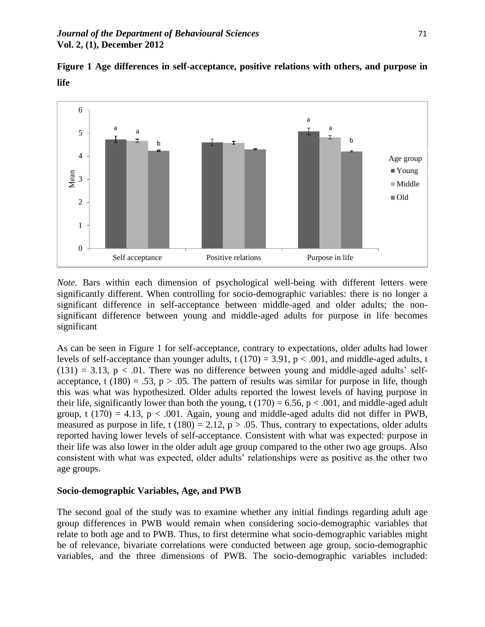**Figure 1 Age differences in self-acceptance, positive relations with others, and purpose in life** 



*Note.* Bars within each dimension of psychological well-being with different letters were significantly different. When controlling for socio-demographic variables: there is no longer a significant difference in self-acceptance between middle-aged and older adults; the nonsignificant difference between young and middle-aged adults for purpose in life becomes significant

As can be seen in Figure 1 for self-acceptance, contrary to expectations, older adults had lower levels of self-acceptance than younger adults, t  $(170) = 3.91$ ,  $p < .001$ , and middle-aged adults, t  $(131) = 3.13$ ,  $p < .01$ . There was no difference between young and middle-aged adults' selfacceptance, t (180) = .53,  $p > 0.05$ . The pattern of results was similar for purpose in life, though this was what was hypothesized. Older adults reported the lowest levels of having purpose in their life, significantly lower than both the young, t (170) = 6.56, p < .001, and middle-aged adult group, t (170) = 4.13,  $p < .001$ . Again, young and middle-aged adults did not differ in PWB, measured as purpose in life, t (180) = 2.12,  $p > .05$ . Thus, contrary to expectations, older adults reported having lower levels of self-acceptance. Consistent with what was expected: purpose in their life was also lower in the older adult age group compared to the other two age groups. Also consistent with what was expected, older adults" relationships were as positive as the other two age groups.

### **Socio-demographic Variables, Age, and PWB**

The second goal of the study was to examine whether any initial findings regarding adult age group differences in PWB would remain when considering socio-demographic variables that relate to both age and to PWB. Thus, to first determine what socio-demographic variables might be of relevance, bivariate correlations were conducted between age group, socio-demographic variables, and the three dimensions of PWB. The socio-demographic variables included: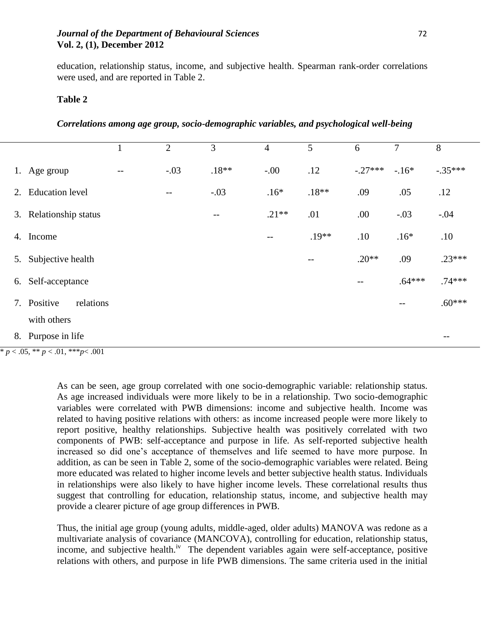### *Journal of the Department of Behavioural Sciences* 72 **Vol. 2, (1), December 2012**

education, relationship status, income, and subjective health. Spearman rank-order correlations were used, and are reported in Table 2.

#### **Table 2**

### *Correlations among age group, socio-demographic variables, and psychological well-being*

|                                             |                          | $\mathbf{1}$ | $\overline{2}$    | 3                 | $\overline{4}$ | 5       | 6                                     | $\overline{7}$ | 8                                     |  |  |
|---------------------------------------------|--------------------------|--------------|-------------------|-------------------|----------------|---------|---------------------------------------|----------------|---------------------------------------|--|--|
|                                             | 1. Age group             |              | $-.03$            | $.18**$           | $-.00$         | .12     | $-.27***$                             | $-.16*$        | $-.35***$                             |  |  |
| 2.                                          | <b>Education</b> level   |              | $\qquad \qquad -$ | $-.03$            | $.16*$         | $.18**$ | .09                                   | .05            | .12                                   |  |  |
|                                             | 3. Relationship status   |              |                   | $\qquad \qquad -$ | $.21**$        | .01     | .00                                   | $-.03$         | $-.04$                                |  |  |
| 4.                                          | Income                   |              |                   |                   | --             | $.19**$ | .10                                   | $.16*$         | .10                                   |  |  |
| 5.                                          | Subjective health        |              |                   |                   |                | $ -$    | $.20**$                               | .09            | $.23***$                              |  |  |
| 6.                                          | Self-acceptance          |              |                   |                   |                |         | $\hspace{0.05cm}$ – $\hspace{0.05cm}$ | $.64***$       | $.74***$                              |  |  |
|                                             | 7. Positive<br>relations |              |                   |                   |                |         |                                       | --             | $.60***$                              |  |  |
|                                             | with others              |              |                   |                   |                |         |                                       |                |                                       |  |  |
|                                             | 8. Purpose in life       |              |                   |                   |                |         |                                       |                | $\hspace{0.05cm}$ – $\hspace{0.05cm}$ |  |  |
| * $p < .05$ , ** $p < .01$ , *** $p < .001$ |                          |              |                   |                   |                |         |                                       |                |                                       |  |  |

As can be seen, age group correlated with one socio-demographic variable: relationship status. As age increased individuals were more likely to be in a relationship. Two socio-demographic variables were correlated with PWB dimensions: income and subjective health. Income was related to having positive relations with others: as income increased people were more likely to report positive, healthy relationships. Subjective health was positively correlated with two components of PWB: self-acceptance and purpose in life. As self-reported subjective health increased so did one"s acceptance of themselves and life seemed to have more purpose. In addition, as can be seen in Table 2, some of the socio-demographic variables were related. Being more educated was related to higher income levels and better subjective health status. Individuals in relationships were also likely to have higher income levels. These correlational results thus suggest that controlling for education, relationship status, income, and subjective health may provide a clearer picture of age group differences in PWB.

Thus, the initial age group (young adults, middle-aged, older adults) MANOVA was redone as a multivariate analysis of covariance (MANCOVA), controlling for education, relationship status, income, and subjective health.<sup>iv</sup> The dependent variables again were self-acceptance, positive relations with others, and purpose in life PWB dimensions. The same criteria used in the initial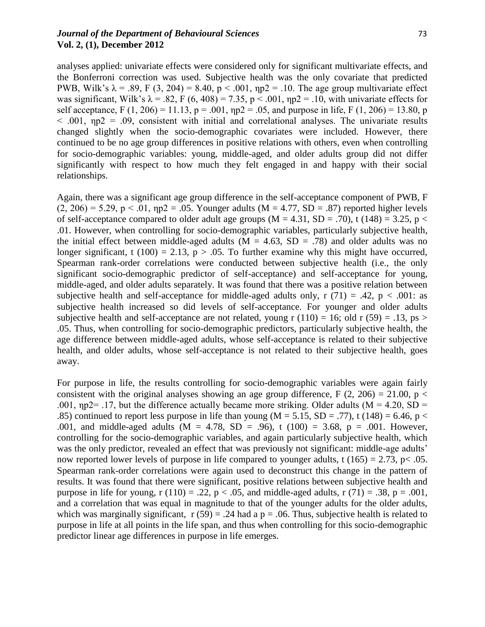### *Journal of the Department of Behavioural Sciences* 73 **Vol. 2, (1), December 2012**

analyses applied: univariate effects were considered only for significant multivariate effects, and the Bonferroni correction was used. Subjective health was the only covariate that predicted PWB, Wilk's  $\lambda = .89$ , F (3, 204) = 8.40, p < .001,  $np2 = .10$ . The age group multivariate effect was significant, Wilk's  $\lambda = .82$ , F (6, 408) = 7.35, p < .001,  $np2 = .10$ , with univariate effects for self acceptance, F (1, 206) = 11.13, p = .001,  $np2 = 0.05$ , and purpose in life, F (1, 206) = 13.80, p  $<$  0.01, np2 = 0.09, consistent with initial and correlational analyses. The univariate results changed slightly when the socio-demographic covariates were included. However, there continued to be no age group differences in positive relations with others, even when controlling for socio-demographic variables: young, middle-aged, and older adults group did not differ significantly with respect to how much they felt engaged in and happy with their social relationships.

Again, there was a significant age group difference in the self-acceptance component of PWB, F  $(2, 206) = 5.29$ ,  $p < .01$ ,  $np2 = .05$ . Younger adults  $(M = 4.77, SD = .87)$  reported higher levels of self-acceptance compared to older adult age groups ( $M = 4.31$ ,  $SD = .70$ ), t (148) = 3.25, p < .01. However, when controlling for socio-demographic variables, particularly subjective health, the initial effect between middle-aged adults ( $M = 4.63$ ,  $SD = .78$ ) and older adults was no longer significant, t (100) = 2.13,  $p > .05$ . To further examine why this might have occurred, Spearman rank-order correlations were conducted between subjective health (i.e., the only significant socio-demographic predictor of self-acceptance) and self-acceptance for young, middle-aged, and older adults separately. It was found that there was a positive relation between subjective health and self-acceptance for middle-aged adults only,  $r(71) = .42$ ,  $p < .001$ : as subjective health increased so did levels of self-acceptance. For younger and older adults subjective health and self-acceptance are not related, young r  $(110) = 16$ ; old r  $(59) = .13$ , ps > .05. Thus, when controlling for socio-demographic predictors, particularly subjective health, the age difference between middle-aged adults, whose self-acceptance is related to their subjective health, and older adults, whose self-acceptance is not related to their subjective health, goes away.

For purpose in life, the results controlling for socio-demographic variables were again fairly consistent with the original analyses showing an age group difference, F  $(2, 206) = 21.00$ , p < .001,  $np2 = 0.17$ , but the difference actually became more striking. Older adults (M = 4.20, SD = .85) continued to report less purpose in life than young ( $M = 5.15$ ,  $SD = .77$ ), t (148) = 6.46, p < .001, and middle-aged adults ( $M = 4.78$ ,  $SD = .96$ ), t (100) = 3.68, p = .001. However, controlling for the socio-demographic variables, and again particularly subjective health, which was the only predictor, revealed an effect that was previously not significant: middle-age adults' now reported lower levels of purpose in life compared to younger adults, t  $(165) = 2.73$ , p< .05. Spearman rank-order correlations were again used to deconstruct this change in the pattern of results. It was found that there were significant, positive relations between subjective health and purpose in life for young, r (110) = .22,  $p < .05$ , and middle-aged adults, r (71) = .38, p = .001, and a correlation that was equal in magnitude to that of the younger adults for the older adults, which was marginally significant,  $r(59) = .24$  had a  $p = .06$ . Thus, subjective health is related to purpose in life at all points in the life span, and thus when controlling for this socio-demographic predictor linear age differences in purpose in life emerges.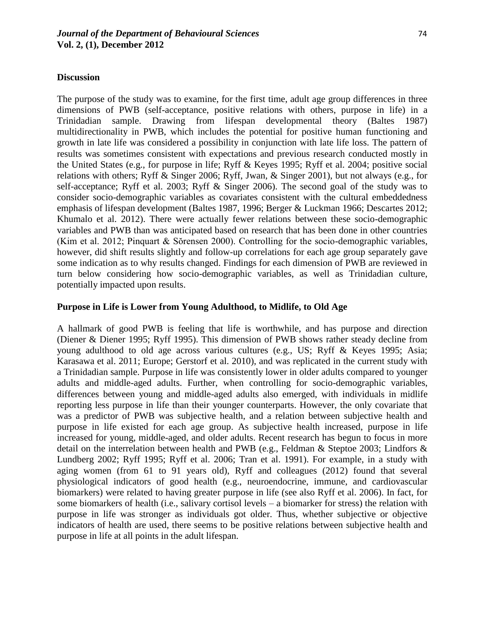#### **Discussion**

The purpose of the study was to examine, for the first time, adult age group differences in three dimensions of PWB (self-acceptance, positive relations with others, purpose in life) in a Trinidadian sample. Drawing from lifespan developmental theory (Baltes 1987) multidirectionality in PWB, which includes the potential for positive human functioning and growth in late life was considered a possibility in conjunction with late life loss. The pattern of results was sometimes consistent with expectations and previous research conducted mostly in the United States (e.g., for purpose in life; Ryff & Keyes 1995; Ryff et al. 2004; positive social relations with others; Ryff & Singer 2006; Ryff, Jwan, & Singer 2001), but not always (e.g., for self-acceptance; Ryff et al. 2003; Ryff & Singer 2006). The second goal of the study was to consider socio-demographic variables as covariates consistent with the cultural embeddedness emphasis of lifespan development (Baltes 1987, 1996; Berger & Luckman 1966; Descartes 2012; Khumalo et al. 2012). There were actually fewer relations between these socio-demographic variables and PWB than was anticipated based on research that has been done in other countries (Kim et al. 2012; Pinquart & Sŏrensen 2000). Controlling for the socio-demographic variables, however, did shift results slightly and follow-up correlations for each age group separately gave some indication as to why results changed. Findings for each dimension of PWB are reviewed in turn below considering how socio-demographic variables, as well as Trinidadian culture, potentially impacted upon results.

# **Purpose in Life is Lower from Young Adulthood, to Midlife, to Old Age**

A hallmark of good PWB is feeling that life is worthwhile, and has purpose and direction (Diener & Diener 1995; Ryff 1995). This dimension of PWB shows rather steady decline from young adulthood to old age across various cultures (e.g., US; Ryff & Keyes 1995; Asia; Karasawa et al. 2011; Europe; Gerstorf et al. 2010), and was replicated in the current study with a Trinidadian sample. Purpose in life was consistently lower in older adults compared to younger adults and middle-aged adults. Further, when controlling for socio-demographic variables, differences between young and middle-aged adults also emerged, with individuals in midlife reporting less purpose in life than their younger counterparts. However, the only covariate that was a predictor of PWB was subjective health, and a relation between subjective health and purpose in life existed for each age group. As subjective health increased, purpose in life increased for young, middle-aged, and older adults. Recent research has begun to focus in more detail on the interrelation between health and PWB (e.g., Feldman & Steptoe 2003; Lindfors & Lundberg 2002; Ryff 1995; Ryff et al. 2006; Tran et al. 1991). For example, in a study with aging women (from 61 to 91 years old), Ryff and colleagues (2012) found that several physiological indicators of good health (e.g., neuroendocrine, immune, and cardiovascular biomarkers) were related to having greater purpose in life (see also Ryff et al. 2006). In fact, for some biomarkers of health (i.e., salivary cortisol levels – a biomarker for stress) the relation with purpose in life was stronger as individuals got older. Thus, whether subjective or objective indicators of health are used, there seems to be positive relations between subjective health and purpose in life at all points in the adult lifespan.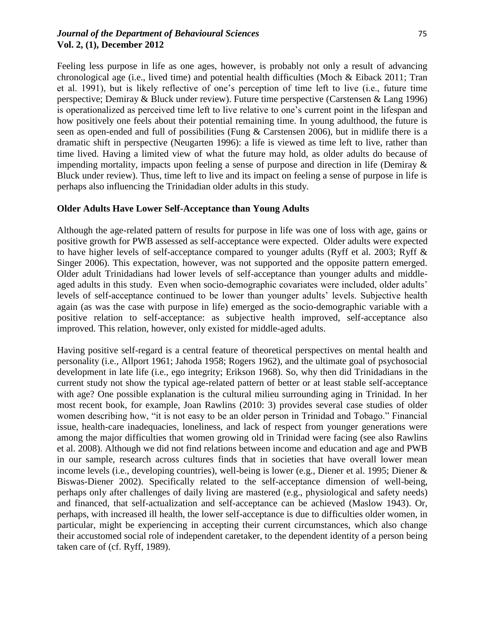### *Journal of the Department of Behavioural Sciences* 75 **Vol. 2, (1), December 2012**

Feeling less purpose in life as one ages, however, is probably not only a result of advancing chronological age (i.e., lived time) and potential health difficulties (Moch & Eiback 2011; Tran et al. 1991), but is likely reflective of one"s perception of time left to live (i.e., future time perspective; Demiray & Bluck under review). Future time perspective (Carstensen & Lang 1996) is operationalized as perceived time left to live relative to one's current point in the lifespan and how positively one feels about their potential remaining time. In young adulthood, the future is seen as open-ended and full of possibilities (Fung & Carstensen 2006), but in midlife there is a dramatic shift in perspective (Neugarten 1996): a life is viewed as time left to live, rather than time lived. Having a limited view of what the future may hold, as older adults do because of impending mortality, impacts upon feeling a sense of purpose and direction in life (Demiray & Bluck under review). Thus, time left to live and its impact on feeling a sense of purpose in life is perhaps also influencing the Trinidadian older adults in this study.

# **Older Adults Have Lower Self-Acceptance than Young Adults**

Although the age-related pattern of results for purpose in life was one of loss with age, gains or positive growth for PWB assessed as self-acceptance were expected. Older adults were expected to have higher levels of self-acceptance compared to younger adults (Ryff et al. 2003; Ryff & Singer 2006). This expectation, however, was not supported and the opposite pattern emerged. Older adult Trinidadians had lower levels of self-acceptance than younger adults and middleaged adults in this study. Even when socio-demographic covariates were included, older adults' levels of self-acceptance continued to be lower than younger adults" levels. Subjective health again (as was the case with purpose in life) emerged as the socio-demographic variable with a positive relation to self-acceptance: as subjective health improved, self-acceptance also improved. This relation, however, only existed for middle-aged adults.

Having positive self-regard is a central feature of theoretical perspectives on mental health and personality (i.e., Allport 1961; Jahoda 1958; Rogers 1962), and the ultimate goal of psychosocial development in late life (i.e., ego integrity; Erikson 1968). So, why then did Trinidadians in the current study not show the typical age-related pattern of better or at least stable self-acceptance with age? One possible explanation is the cultural milieu surrounding aging in Trinidad. In her most recent book, for example, Joan Rawlins (2010: 3) provides several case studies of older women describing how, "it is not easy to be an older person in Trinidad and Tobago." Financial issue, health-care inadequacies, loneliness, and lack of respect from younger generations were among the major difficulties that women growing old in Trinidad were facing (see also Rawlins et al. 2008). Although we did not find relations between income and education and age and PWB in our sample, research across cultures finds that in societies that have overall lower mean income levels (i.e., developing countries), well-being is lower (e.g., Diener et al. 1995; Diener & Biswas-Diener 2002). Specifically related to the self-acceptance dimension of well-being, perhaps only after challenges of daily living are mastered (e.g., physiological and safety needs) and financed, that self-actualization and self-acceptance can be achieved (Maslow 1943). Or, perhaps, with increased ill health, the lower self-acceptance is due to difficulties older women, in particular, might be experiencing in accepting their current circumstances, which also change their accustomed social role of independent caretaker, to the dependent identity of a person being taken care of (cf. Ryff, 1989).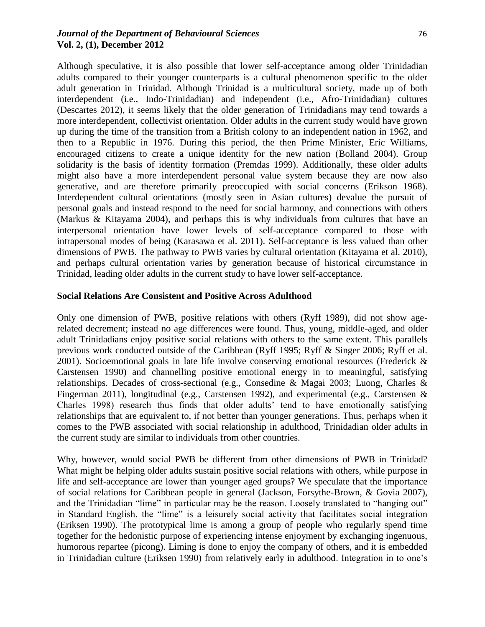### *Journal of the Department of Behavioural Sciences* 76 **Vol. 2, (1), December 2012**

Although speculative, it is also possible that lower self-acceptance among older Trinidadian adults compared to their younger counterparts is a cultural phenomenon specific to the older adult generation in Trinidad. Although Trinidad is a multicultural society, made up of both interdependent (i.e., Indo-Trinidadian) and independent (i.e., Afro-Trinidadian) cultures (Descartes 2012), it seems likely that the older generation of Trinidadians may tend towards a more interdependent, collectivist orientation. Older adults in the current study would have grown up during the time of the transition from a British colony to an independent nation in 1962, and then to a Republic in 1976. During this period, the then Prime Minister, Eric Williams, encouraged citizens to create a unique identity for the new nation (Bolland 2004). Group solidarity is the basis of identity formation (Premdas 1999). Additionally, these older adults might also have a more interdependent personal value system because they are now also generative, and are therefore primarily preoccupied with social concerns (Erikson 1968). Interdependent cultural orientations (mostly seen in Asian cultures) devalue the pursuit of personal goals and instead respond to the need for social harmony, and connections with others (Markus & Kitayama 2004), and perhaps this is why individuals from cultures that have an interpersonal orientation have lower levels of self-acceptance compared to those with intrapersonal modes of being (Karasawa et al. 2011). Self-acceptance is less valued than other dimensions of PWB. The pathway to PWB varies by cultural orientation (Kitayama et al. 2010), and perhaps cultural orientation varies by generation because of historical circumstance in Trinidad, leading older adults in the current study to have lower self-acceptance.

### **Social Relations Are Consistent and Positive Across Adulthood**

Only one dimension of PWB, positive relations with others (Ryff 1989), did not show agerelated decrement; instead no age differences were found. Thus, young, middle-aged, and older adult Trinidadians enjoy positive social relations with others to the same extent. This parallels previous work conducted outside of the Caribbean (Ryff 1995; Ryff & Singer 2006; Ryff et al. 2001). Socioemotional goals in late life involve conserving emotional resources (Frederick & Carstensen 1990) and channelling positive emotional energy in to meaningful, satisfying relationships. Decades of cross-sectional (e.g., Consedine & Magai 2003; Luong, Charles & Fingerman 2011), longitudinal (e.g., Carstensen 1992), and experimental (e.g., Carstensen & Charles 1998) research thus finds that older adults" tend to have emotionally satisfying relationships that are equivalent to, if not better than younger generations. Thus, perhaps when it comes to the PWB associated with social relationship in adulthood, Trinidadian older adults in the current study are similar to individuals from other countries.

Why, however, would social PWB be different from other dimensions of PWB in Trinidad? What might be helping older adults sustain positive social relations with others, while purpose in life and self-acceptance are lower than younger aged groups? We speculate that the importance of social relations for Caribbean people in general (Jackson, Forsythe-Brown, & Govia 2007), and the Trinidadian "lime" in particular may be the reason. Loosely translated to "hanging out" in Standard English, the "lime" is a leisurely social activity that facilitates social integration (Eriksen 1990). The prototypical lime is among a group of people who regularly spend time together for the hedonistic purpose of experiencing intense enjoyment by exchanging ingenuous, humorous repartee (picong). Liming is done to enjoy the company of others, and it is embedded in Trinidadian culture (Eriksen 1990) from relatively early in adulthood. Integration in to one"s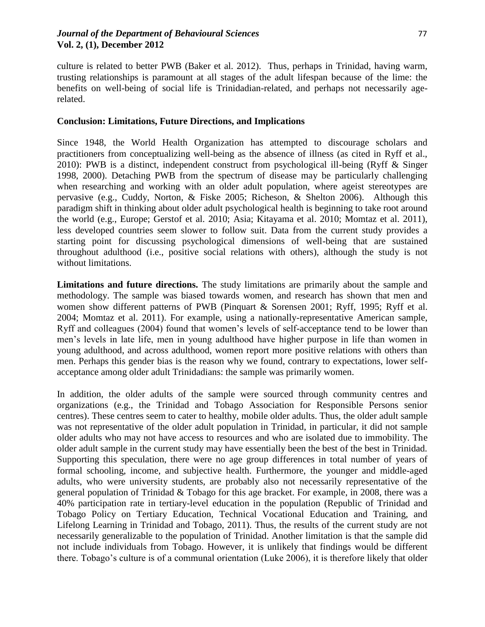culture is related to better PWB (Baker et al. 2012). Thus, perhaps in Trinidad, having warm, trusting relationships is paramount at all stages of the adult lifespan because of the lime: the benefits on well-being of social life is Trinidadian-related, and perhaps not necessarily agerelated.

### **Conclusion: Limitations, Future Directions, and Implications**

Since 1948, the World Health Organization has attempted to discourage scholars and practitioners from conceptualizing well-being as the absence of illness (as cited in Ryff et al., 2010): PWB is a distinct, independent construct from psychological ill-being (Ryff & Singer 1998, 2000). Detaching PWB from the spectrum of disease may be particularly challenging when researching and working with an older adult population, where ageist stereotypes are pervasive (e.g., Cuddy, Norton, & Fiske 2005; Richeson, & Shelton 2006). Although this paradigm shift in thinking about older adult psychological health is beginning to take root around the world (e.g., Europe; Gerstof et al. 2010; Asia; Kitayama et al. 2010; Momtaz et al. 2011), less developed countries seem slower to follow suit. Data from the current study provides a starting point for discussing psychological dimensions of well-being that are sustained throughout adulthood (i.e., positive social relations with others), although the study is not without limitations.

**Limitations and future directions.** The study limitations are primarily about the sample and methodology. The sample was biased towards women, and research has shown that men and women show different patterns of PWB (Pinquart & Sorensen 2001; Ryff, 1995; Ryff et al. 2004; Momtaz et al. 2011). For example, using a nationally-representative American sample, Ryff and colleagues (2004) found that women's levels of self-acceptance tend to be lower than men"s levels in late life, men in young adulthood have higher purpose in life than women in young adulthood, and across adulthood, women report more positive relations with others than men. Perhaps this gender bias is the reason why we found, contrary to expectations, lower selfacceptance among older adult Trinidadians: the sample was primarily women.

In addition, the older adults of the sample were sourced through community centres and organizations (e.g., the Trinidad and Tobago Association for Responsible Persons senior centres). These centres seem to cater to healthy, mobile older adults. Thus, the older adult sample was not representative of the older adult population in Trinidad, in particular, it did not sample older adults who may not have access to resources and who are isolated due to immobility. The older adult sample in the current study may have essentially been the best of the best in Trinidad. Supporting this speculation, there were no age group differences in total number of years of formal schooling, income, and subjective health. Furthermore, the younger and middle-aged adults, who were university students, are probably also not necessarily representative of the general population of Trinidad & Tobago for this age bracket. For example, in 2008, there was a 40% participation rate in tertiary-level education in the population (Republic of Trinidad and Tobago Policy on Tertiary Education, Technical Vocational Education and Training, and Lifelong Learning in Trinidad and Tobago, 2011). Thus, the results of the current study are not necessarily generalizable to the population of Trinidad. Another limitation is that the sample did not include individuals from Tobago. However, it is unlikely that findings would be different there. Tobago"s culture is of a communal orientation (Luke 2006), it is therefore likely that older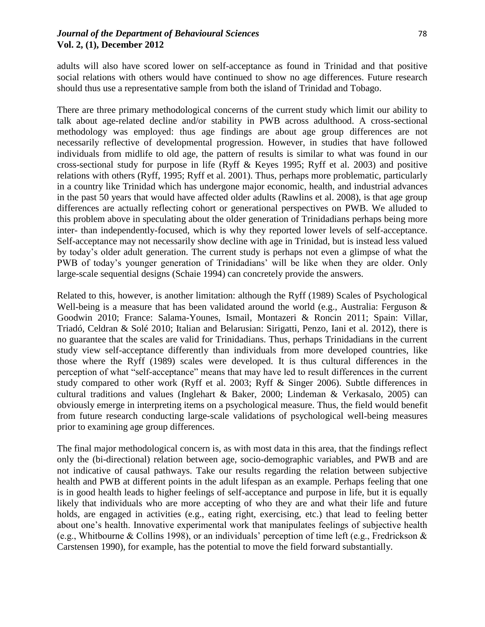### *Journal of the Department of Behavioural Sciences* 78 **Vol. 2, (1), December 2012**

adults will also have scored lower on self-acceptance as found in Trinidad and that positive social relations with others would have continued to show no age differences. Future research should thus use a representative sample from both the island of Trinidad and Tobago.

There are three primary methodological concerns of the current study which limit our ability to talk about age-related decline and/or stability in PWB across adulthood. A cross-sectional methodology was employed: thus age findings are about age group differences are not necessarily reflective of developmental progression. However, in studies that have followed individuals from midlife to old age, the pattern of results is similar to what was found in our cross-sectional study for purpose in life (Ryff & Keyes 1995; Ryff et al. 2003) and positive relations with others (Ryff, 1995; Ryff et al. 2001). Thus, perhaps more problematic, particularly in a country like Trinidad which has undergone major economic, health, and industrial advances in the past 50 years that would have affected older adults (Rawlins et al. 2008), is that age group differences are actually reflecting cohort or generational perspectives on PWB. We alluded to this problem above in speculating about the older generation of Trinidadians perhaps being more inter- than independently-focused, which is why they reported lower levels of self-acceptance. Self-acceptance may not necessarily show decline with age in Trinidad, but is instead less valued by today"s older adult generation. The current study is perhaps not even a glimpse of what the PWB of today's younger generation of Trinidadians' will be like when they are older. Only large-scale sequential designs (Schaie 1994) can concretely provide the answers.

Related to this, however, is another limitation: although the Ryff (1989) Scales of Psychological Well-being is a measure that has been validated around the world (e.g., Australia: Ferguson & Goodwin 2010; France: Salama-Younes, Ismail, Montazeri & Roncin 2011; Spain: Villar, Triadó, Celdran & Solé 2010; Italian and Belarusian: Sirigatti, Penzo, Iani et al. 2012), there is no guarantee that the scales are valid for Trinidadians. Thus, perhaps Trinidadians in the current study view self-acceptance differently than individuals from more developed countries, like those where the Ryff (1989) scales were developed. It is thus cultural differences in the perception of what "self-acceptance" means that may have led to result differences in the current study compared to other work (Ryff et al. 2003; Ryff & Singer 2006). Subtle differences in cultural traditions and values (Inglehart & Baker, 2000; Lindeman & Verkasalo, 2005) can obviously emerge in interpreting items on a psychological measure. Thus, the field would benefit from future research conducting large-scale validations of psychological well-being measures prior to examining age group differences.

The final major methodological concern is, as with most data in this area, that the findings reflect only the (bi-directional) relation between age, socio-demographic variables, and PWB and are not indicative of causal pathways. Take our results regarding the relation between subjective health and PWB at different points in the adult lifespan as an example. Perhaps feeling that one is in good health leads to higher feelings of self-acceptance and purpose in life, but it is equally likely that individuals who are more accepting of who they are and what their life and future holds, are engaged in activities (e.g., eating right, exercising, etc.) that lead to feeling better about one"s health. Innovative experimental work that manipulates feelings of subjective health (e.g., Whitbourne & Collins 1998), or an individuals" perception of time left (e.g., Fredrickson & Carstensen 1990), for example, has the potential to move the field forward substantially.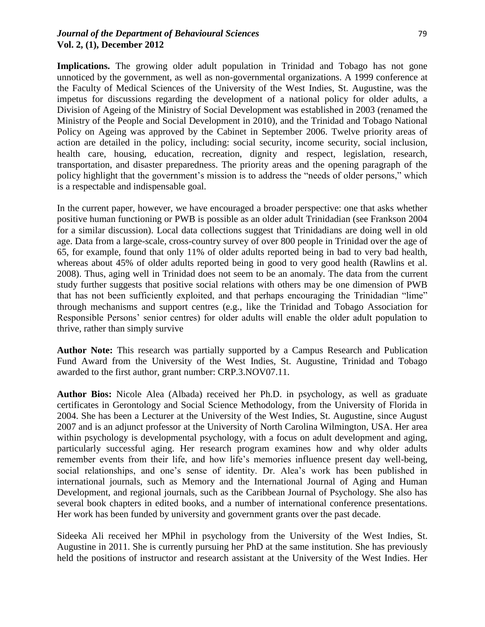# *Journal of the Department of Behavioural Sciences* 79 **Vol. 2, (1), December 2012**

Implications. The growing older adult population in Trinidad and Tobago has not gone unnoticed by the government, as well as non-governmental organizations. A 1999 conference at the Faculty of Medical Sciences of the University of the West Indies, St. Augustine, was the impetus for discussions regarding the development of a national policy for older adults, a Division of Ageing of the Ministry of Social Development was established in 2003 (renamed the Ministry of the People and Social Development in 2010), and the Trinidad and Tobago National Policy on Ageing was approved by the Cabinet in September 2006. Twelve priority areas of action are detailed in the policy, including: social security, income security, social inclusion, health care, housing, education, recreation, dignity and respect, legislation, research, transportation, and disaster preparedness. The priority areas and the opening paragraph of the policy highlight that the government's mission is to address the "needs of older persons," which is a respectable and indispensable goal.

In the current paper, however, we have encouraged a broader perspective: one that asks whether positive human functioning or PWB is possible as an older adult Trinidadian (see Frankson 2004 for a similar discussion). Local data collections suggest that Trinidadians are doing well in old age. Data from a large-scale, cross-country survey of over 800 people in Trinidad over the age of 65, for example, found that only 11% of older adults reported being in bad to very bad health, whereas about 45% of older adults reported being in good to very good health (Rawlins et al. 2008). Thus, aging well in Trinidad does not seem to be an anomaly. The data from the current study further suggests that positive social relations with others may be one dimension of PWB that has not been sufficiently exploited, and that perhaps encouraging the Trinidadian "lime" through mechanisms and support centres (e.g., like the Trinidad and Tobago Association for Responsible Persons' senior centres) for older adults will enable the older adult population to thrive, rather than simply survive

**Author Note:** This research was partially supported by a Campus Research and Publication Fund Award from the University of the West Indies, St. Augustine, Trinidad and Tobago awarded to the first author, grant number: CRP.3.NOV07.11.

**Author Bios:** Nicole Alea (Albada) received her Ph.D. in psychology, as well as graduate certificates in Gerontology and Social Science Methodology, from the University of Florida in 2004. She has been a Lecturer at the University of the West Indies, St. Augustine, since August 2007 and is an adjunct professor at the University of North Carolina Wilmington, USA. Her area within psychology is developmental psychology, with a focus on adult development and aging, particularly successful aging. Her research program examines how and why older adults remember events from their life, and how life"s memories influence present day well-being, social relationships, and one's sense of identity. Dr. Alea's work has been published in international journals, such as Memory and the International Journal of Aging and Human Development, and regional journals, such as the Caribbean Journal of Psychology. She also has several book chapters in edited books, and a number of international conference presentations. Her work has been funded by university and government grants over the past decade.

Sideeka Ali received her MPhil in psychology from the University of the West Indies, St. Augustine in 2011. She is currently pursuing her PhD at the same institution. She has previously held the positions of instructor and research assistant at the University of the West Indies. Her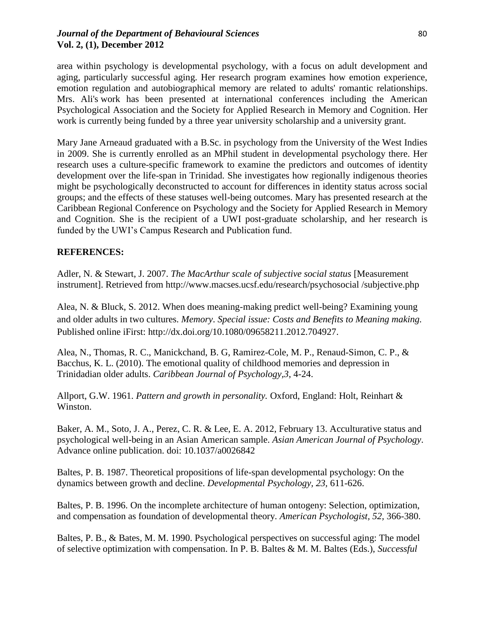# *Journal of the Department of Behavioural Sciences* 80 **Vol. 2, (1), December 2012**

area within psychology is developmental psychology, with a focus on adult development and aging, particularly successful aging. Her research program examines how emotion experience, emotion regulation and autobiographical memory are related to adults' romantic relationships. Mrs. Ali's work has been presented at international conferences including the American Psychological Association and the Society for Applied Research in Memory and Cognition. Her work is currently being funded by a three year university scholarship and a university grant.

Mary Jane Arneaud graduated with a B.Sc. in psychology from the University of the West Indies in 2009. She is currently enrolled as an MPhil student in developmental psychology there. Her research uses a culture-specific framework to examine the predictors and outcomes of identity development over the life-span in Trinidad. She investigates how regionally indigenous theories might be psychologically deconstructed to account for differences in identity status across social groups; and the effects of these statuses well-being outcomes. Mary has presented research at the Caribbean Regional Conference on Psychology and the Society for Applied Research in Memory and Cognition. She is the recipient of a UWI post-graduate scholarship, and her research is funded by the UWI"s Campus Research and Publication fund.

# **REFERENCES:**

Adler, N. & Stewart, J. 2007. *The MacArthur scale of subjective social status* [Measurement instrument]. Retrieved from [http://www.macses.ucsf.edu/research/psychosocial /subjective.php](http://www.macses.ucsf.edu/research/psychosocial%20/subjective.php)

Alea, N. & Bluck, S. 2012. When does meaning-making predict well-being? Examining young and older adults in two cultures. *Memory*. *Special issue: Costs and Benefits to Meaning making.* Published online iFirst: [http://dx.doi.org/10.1080/09658211.2012.704927.](http://dx.doi.org/10.1080/09658211.2012.704927)

Alea, N., Thomas, R. C., Manickchand, B. G, Ramirez-Cole, M. P., Renaud-Simon, C. P., & Bacchus, K. L. (2010). The emotional quality of childhood memories and depression in Trinidadian older adults. *Caribbean Journal of Psychology,3*, 4-24.

Allport, G.W. 1961. *Pattern and growth in personality.* Oxford, England: Holt, Reinhart & Winston.

Baker, A. M., Soto, J. A., Perez, C. R. & Lee, E. A. 2012, February 13. Acculturative status and psychological well-being in an Asian American sample. *Asian American Journal of Psychology*. Advance online publication. doi: [10.1037/a0026842](http://psycnet.apa.org/doi/10.1037/a0026842)

Baltes, P. B. 1987. Theoretical propositions of life-span developmental psychology: On the dynamics between growth and decline. *Developmental Psychology, 23,* 611-626.

Baltes, P. B. 1996. On the incomplete architecture of human ontogeny: Selection, optimization, and compensation as foundation of developmental theory. *American Psychologist, 52,* 366-380.

Baltes, P. B., & Bates, M. M. 1990. Psychological perspectives on successful aging: The model of selective optimization with compensation. In P. B. Baltes & M. M. Baltes (Eds.), *Successful*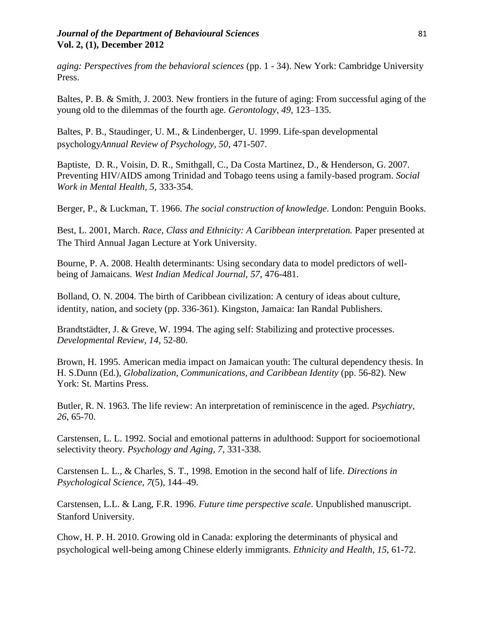### *Journal of the Department of Behavioural Sciences* 81 **Vol. 2, (1), December 2012**

*aging: Perspectives from the behavioral sciences* (pp. 1 - 34). New York: Cambridge University Press.

Baltes, P. B. & Smith, J. 2003. New frontiers in the future of aging: From successful aging of the young old to the dilemmas of the fourth age. *Gerontology, 49,* 123–135.

Baltes, P. B., Staudinger, U. M., & Lindenberger, U. 1999. Life-span developmental psychology*Annual Review of Psychology, 50*, 471-507.

Baptiste, D. R., Voisin, D. R., Smithgall, C., Da Costa Martinez, D., & Henderson, G. 2007. Preventing HIV/AIDS among Trinidad and Tobago teens using a family-based program. *Social Work in Mental Health, 5,* 333-354.

Berger, P., & Luckman, T. 1966. *The social construction of knowledge*. London: Penguin Books.

Best, L. 2001, March. *Race, Class and Ethnicity: A Caribbean interpretation.* Paper presented at The Third Annual Jagan Lecture at York University.

Bourne, P. A. 2008. Health determinants: Using secondary data to model predictors of wellbeing of Jamaicans. *West Indian Medical Journal, 57*, 476-481.

Bolland, O. N. 2004. The birth of Caribbean civilization: A century of ideas about culture, identity, nation, and society (pp. 336-361). Kingston, Jamaica: Ian Randal Publishers.

Brandtstädter, J. & Greve, W. 1994. The aging self: Stabilizing and protective processes. *Developmental Review, 14*, 52-80.

Brown, H. 1995. American media impact on Jamaican youth: The cultural dependency thesis. In H. S.Dunn (Ed.), *Globalization, Communications, and Caribbean Identity* (pp. 56-82). New York: St. Martins Press.

Butler, R. N. 1963. The life review: An interpretation of reminiscence in the aged. *Psychiatry, 26*, 65-70.

Carstensen, L. L. 1992. Social and emotional patterns in adulthood: Support for socioemotional selectivity theory. *Psychology and Aging, 7*, 331-338.

Carstensen L. L., & Charles, S. T., 1998. Emotion in the second half of life. *Directions in Psychological Science, 7*(5), 144–49.

Carstensen, L.L. & Lang, F.R. 1996. *Future time perspective scale*. Unpublished manuscript. Stanford University.

Chow, H. P. H. 2010. Growing old in Canada: exploring the determinants of physical and psychological well-being among Chinese elderly immigrants. *Ethnicity and Health*, *15*, 61-72.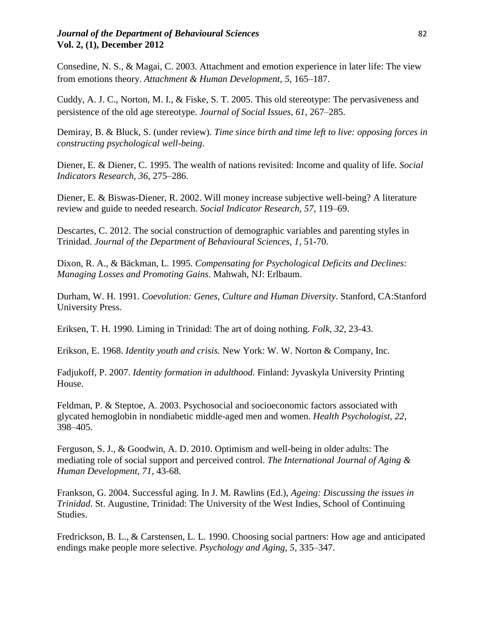# *Journal of the Department of Behavioural Sciences* **82** 82 **Vol. 2, (1), December 2012**

Consedine, N. S., & Magai, C. 2003. Attachment and emotion experience in later life: The view from emotions theory. *Attachment & Human Development*, *5*, 165–187.

Cuddy, A. J. C., Norton, M. I., & Fiske, S. T. 2005. This old stereotype: The pervasiveness and persistence of the old age stereotype. *Journal of Social Issues, 61,* 267–285.

Demiray, B. & Bluck, S. (under review). *Time since birth and time left to live: opposing forces in constructing psychological well-being*.

Diener, E. & Diener, C. 1995. The wealth of nations revisited: Income and quality of life. *Social Indicators Research, 36*, 275–286.

Diener, E. & Biswas-Diener, R. 2002. Will money increase subjective well-being? A literature review and guide to needed research. *Social Indicator Research, 57*, 119–69.

Descartes, C. 2012. The social construction of demographic variables and parenting styles in Trinidad. *Journal of the Department of Behavioural Sciences, 1,* 51-70.

Dixon, R. A., & Bäckman, L. 1995. *Compensating for Psychological Deficits and Declines: Managing Losses and Promoting Gains*. Mahwah, NJ: Erlbaum.

Durham, W. H. 1991. *Coevolution: Genes, Culture and Human Diversity*. Stanford, CA:Stanford University Press.

Eriksen, T. H. 1990. Liming in Trinidad: The art of doing nothing. *Folk, 32,* 23-43.

Erikson, E. 1968. *Identity youth and crisis.* New York: W. W. Norton & Company, Inc.

Fadjukoff, P. 2007. *Identity formation in adulthood.* Finland: Jyvaskyla University Printing House.

Feldman, P. & Steptoe, A. 2003. Psychosocial and socioeconomic factors associated with glycated hemoglobin in nondiabetic middle-aged men and women. *Health Psychologist, 22*, 398–405.

Ferguson, S. J., & Goodwin, A. D. 2010. Optimism and well-being in older adults: The mediating role of social support and perceived control. *The International Journal of Aging & Human Development, 71*, 43-68.

Frankson, G. 2004. Successful aging. In J. M. Rawlins (Ed.), *Ageing: Discussing the issues in Trinidad*. St. Augustine, Trinidad: The University of the West Indies, School of Continuing Studies.

Fredrickson, B. L., & Carstensen, L. L. 1990. Choosing social partners: How age and anticipated endings make people more selective. *Psychology and Aging, 5*, 335–347.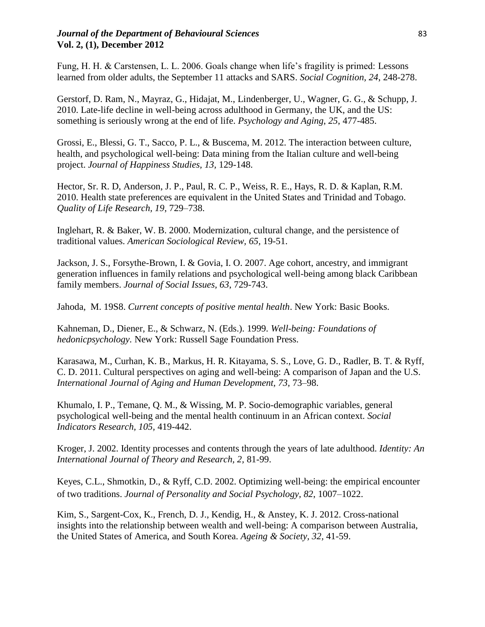# *Journal of the Department of Behavioural Sciences* 83 **Vol. 2, (1), December 2012**

Fung, H. H. & Carstensen, L. L. 2006. Goals change when life"s fragility is primed: Lessons learned from older adults, the September 11 attacks and SARS. *Social Cognition, 24*, 248-278.

Gerstorf, D. Ram, N., Mayraz, G., Hidajat, M., Lindenberger, U., Wagner, G. G., & Schupp, J. 2010. Late-life decline in well-being across adulthood in Germany, the UK, and the US: something is seriously wrong at the end of life. *Psychology and Aging*, *25*, 477-485.

Grossi, E., Blessi, G. T., Sacco, P. L., & Buscema, M. 2012. The interaction between culture, health, and psychological well-being: Data mining from the Italian culture and well-being project. *Journal of Happiness Studies, 13,* 129-148.

Hector, Sr. R. D, Anderson, J. P., Paul, R. C. P., Weiss, R. E., Hays, R. D. & Kaplan, R.M. 2010. Health state preferences are equivalent in the United States and Trinidad and Tobago. *Quality of Life Research, 19*, 729–738.

Inglehart, R. & Baker, W. B. 2000. Modernization, cultural change, and the persistence of traditional values. *American Sociological Review, 65,* 19-51.

Jackson, J. S., Forsythe-Brown, I. & Govia, I. O. 2007. Age cohort, ancestry, and immigrant generation influences in family relations and psychological well-being among black Caribbean family members. *Journal of Social Issues, 63*, 729-743.

Jahoda, M. 19S8. *Current concepts of positive mental health*. New York: Basic Books.

Kahneman, D., Diener, E., & Schwarz, N. (Eds.). 1999. *Well-being: Foundations of hedonicpsychology.* New York: Russell Sage Foundation Press.

Karasawa, M., Curhan, K. B., Markus, H. R. Kitayama, S. S., Love, G. D., Radler, B. T. & Ryff, C. D. 2011. Cultural perspectives on aging and well-being: A comparison of Japan and the U.S. *International Journal of Aging and Human Development, 73,* 73–98.

Khumalo, I. P., Temane, Q. M., & Wissing, M. P. Socio-demographic variables, general psychological well-being and the mental health continuum in an African context. *Social Indicators Research, 105,* 419-442.

Kroger, J. 2002. Identity processes and contents through the years of late adulthood. *Identity: An International Journal of Theory and Research, 2,* 81-99.

Keyes, C.L., Shmotkin, D., & Ryff, C.D. 2002. Optimizing well-being: the empirical encounter of two traditions. *Journal of Personality and Social Psychology, 82*, 1007–1022.

Kim, S., Sargent-Cox, K., French, D. J., Kendig, H., & Anstey, K. J. 2012. Cross-national insights into the relationship between wealth and well-being: A comparison between Australia, the United States of America, and South Korea. *Ageing & Society, 32,* 41-59.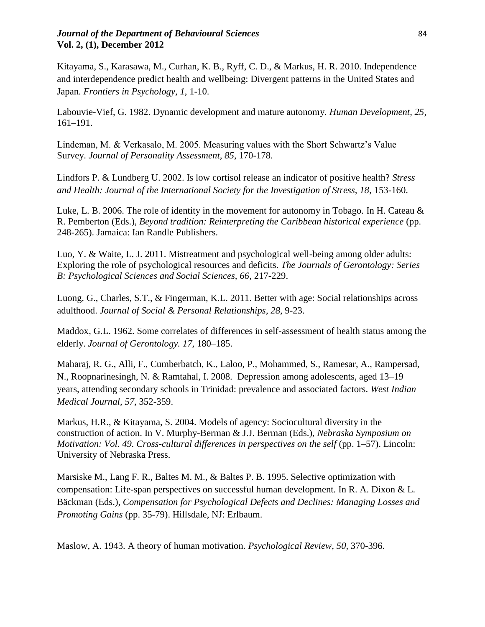# *Journal of the Department of Behavioural Sciences* 84 **Vol. 2, (1), December 2012**

Kitayama, S., Karasawa, M., Curhan, K. B., Ryff, C. D., & Markus, H. R. 2010. Independence and interdependence predict health and wellbeing: Divergent patterns in the United States and Japan. *Frontiers in Psychology*, *1*, 1-10.

Labouvie-Vief, G. 1982. Dynamic development and mature autonomy. *Human Development, 25*, 161–191.

Lindeman, M. & Verkasalo, M. 2005. Measuring values with the Short Schwartz"s Value Survey. *Journal of Personality Assessment, 85*, 170-178.

Lindfors P. & Lundberg U. 2002. Is low cortisol release an indicator of positive health? *Stress and Health: Journal of the International Society for the Investigation of Stress, 18*, 153-160.

Luke, L. B. 2006. The role of identity in the movement for autonomy in Tobago. In H. Cateau  $\&$ R. Pemberton (Eds.), *Beyond tradition: Reinterpreting the Caribbean historical experience* (pp. 248-265). Jamaica: Ian Randle Publishers.

Luo, Y. & Waite, L. J. 2011. Mistreatment and psychological well-being among older adults: Exploring the role of psychological resources and deficits. *The Journals of Gerontology: Series B: Psychological Sciences and Social Sciences, 66*, 217-229.

Luong, G., Charles, S.T., & Fingerman, K.L. 2011. Better with age: Social relationships across adulthood. *Journal of Social & Personal Relationships*, *28*, 9-23.

Maddox, G.L. 1962. Some correlates of differences in self-assessment of health status among the elderly. *Journal of Gerontology. 17,* 180–185.

Maharaj, R. G., Alli, F., Cumberbatch, K., Laloo, P., Mohammed, S., Ramesar, A., Rampersad, N., Roopnarinesingh, N. & Ramtahal, I. 2008. Depression among adolescents, aged 13–19 years, attending secondary schools in Trinidad: prevalence and associated factors. *West Indian Medical Journal, 57*, 352-359.

Markus, H.R., & Kitayama, S. 2004. Models of agency: Sociocultural diversity in the construction of action. In V. Murphy-Berman & J.J. Berman (Eds.), *Nebraska Symposium on Motivation: Vol. 49. Cross-cultural differences in perspectives on the self* (pp. 1–57). Lincoln: University of Nebraska Press.

Marsiske M., Lang F. R., Baltes M. M., & Baltes P. B. 1995. Selective optimization with compensation: Life-span perspectives on successful human development. In R. A. Dixon & L. Bäckman (Eds.), *Compensation for Psychological Defects and Declines: Managing Losses and Promoting Gains* (pp. 35-79). Hillsdale, NJ: Erlbaum.

Maslow, A. 1943. A theory of human motivation. *Psychological Review, 50,* 370-396.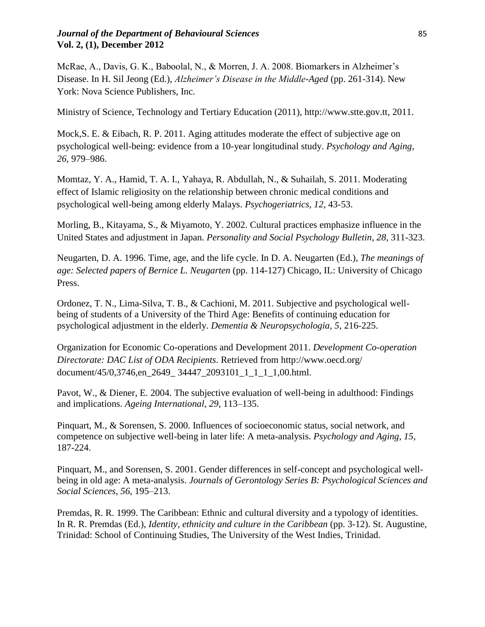# *Journal of the Department of Behavioural Sciences* 85 **Vol. 2, (1), December 2012**

McRae, A., Davis, G. K., Baboolal, N., & Morren, J. A. 2008. Biomarkers in Alzheimer's Disease. In H. Sil Jeong (Ed.), *Alzheimer's Disease in the Middle-Aged* (pp. 261-314). New York: Nova Science Publishers, Inc.

Ministry of Science, Technology and Tertiary Education (2011), http://www.stte.gov.tt, 2011.

Mock,S. E. & Eibach, R. P. 2011. Aging attitudes moderate the effect of subjective age on psychological well-being: evidence from a 10-year longitudinal study. *Psychology and Aging, 26*, 979–986.

Momtaz, Y. A., Hamid, T. A. I., Yahaya, R. Abdullah, N., & Suhailah, S. 2011. Moderating effect of Islamic religiosity on the relationship between chronic medical conditions and psychological well-being among elderly Malays. *Psychogeriatrics, 12*, 43-53.

Morling, B., Kitayama, S., & Miyamoto, Y. 2002. Cultural practices emphasize influence in the United States and adjustment in Japan. *Personality and Social Psychology Bulletin, 28*, 311-323.

Neugarten, D. A. 1996. Time, age, and the life cycle. In D. A. Neugarten (Ed.), *The meanings of age: Selected papers of Bernice L. Neugarten* (pp. 114-127) Chicago, IL: University of Chicago Press.

Ordonez, T. N., Lima-Silva, T. B., & Cachioni, M. 2011. Subjective and psychological wellbeing of students of a University of the Third Age: Benefits of continuing education for psychological adjustment in the elderly. *Dementia & Neuropsychologia, 5*, 216-225.

Organization for Economic Co-operations and Development 2011. *Development Co-operation Directorate: DAC List of ODA Recipients*. Retrieved from [http://www.oecd.org/](http://www.oecd.org/%20document/45/0,3746,en_2649_%2034447_2093101_1_1_1_1,00.html)  [document/45/0,3746,en\\_2649\\_ 34447\\_2093101\\_1\\_1\\_1\\_1,00.html.](http://www.oecd.org/%20document/45/0,3746,en_2649_%2034447_2093101_1_1_1_1,00.html)

Pavot, W., & Diener, E. 2004. The subjective evaluation of well-being in adulthood: Findings and implications. *Ageing International, 29*, 113–135.

Pinquart, M., & Sorensen, S. 2000. Influences of socioeconomic status, social network, and competence on subjective well-being in later life: A meta-analysis. *Psychology and Aging, 15*, 187-224.

Pinquart, M., and Sorensen, S. 2001. Gender differences in self-concept and psychological wellbeing in old age: A meta-analysis. *Journals of Gerontology Series B: Psychological Sciences and Social Sciences, 56*, 195–213.

Premdas, R. R. 1999. The Caribbean: Ethnic and cultural diversity and a typology of identities. In R. R. Premdas (Ed.), *Identity, ethnicity and culture in the Caribbean* (pp. 3-12). St. Augustine, Trinidad: School of Continuing Studies, The University of the West Indies, Trinidad.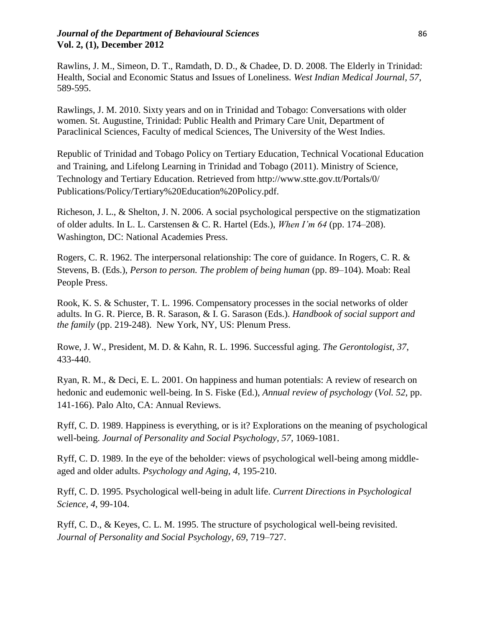# *Journal of the Department of Behavioural Sciences* 86 **Vol. 2, (1), December 2012**

Rawlins, J. M., Simeon, D. T., Ramdath, D. D., & Chadee, D. D. 2008. The Elderly in Trinidad: Health, Social and Economic Status and Issues of Loneliness. *West Indian Medical Journal, 57*, 589-595.

Rawlings, J. M. 2010. Sixty years and on in Trinidad and Tobago: Conversations with older women. St. Augustine, Trinidad: Public Health and Primary Care Unit, Department of Paraclinical Sciences, Faculty of medical Sciences, The University of the West Indies.

Republic of Trinidad and Tobago Policy on Tertiary Education, Technical Vocational Education and Training, and Lifelong Learning in Trinidad and Tobago (2011). Ministry of Science, Technology and Tertiary Education. Retrieved from<http://www.stte.gov.tt/Portals/0/> Publications/Policy/Tertiary%20Education%20Policy.pdf.

Richeson, J. L., & Shelton, J. N. 2006. A social psychological perspective on the stigmatization of older adults. In L. L. Carstensen & C. R. Hartel (Eds.), *When I'm 64* (pp. 174–208). Washington, DC: National Academies Press.

Rogers, C. R. 1962. The interpersonal relationship: The core of guidance. In Rogers, C. R. & Stevens, B. (Eds.), *Person to person. The problem of being human* (pp. 89–104). Moab: Real People Press.

Rook, K. S. & Schuster, T. L. 1996. Compensatory processes in the social networks of older adults. In G. R. Pierce, B. R. Sarason, & I. G. Sarason (Eds.). *Handbook of social support and the family* (pp. 219-248). New York, NY, US: Plenum Press.

Rowe, J. W., President, M. D. & Kahn, R. L. 1996. Successful aging. *The Gerontologist, 37*, 433-440.

Ryan, R. M., & Deci, E. L. 2001. On happiness and human potentials: A review of research on hedonic and eudemonic well-being. In S. Fiske (Ed.), *Annual review of psychology* (*Vol. 52*, pp. 141-166). Palo Alto, CA: Annual Reviews.

Ryff, C. D. 1989. Happiness is everything, or is it? Explorations on the meaning of psychological well-being. *Journal of Personality and Social Psychology, 57,* 1069-1081.

Ryff, C. D. 1989. In the eye of the beholder: views of psychological well-being among middleaged and older adults. *Psychology and Aging, 4*, 195-210.

Ryff, C. D. 1995. Psychological well-being in adult life. *Current Directions in Psychological Science, 4*, 99-104.

Ryff, C. D., & Keyes, C. L. M. 1995. The structure of psychological well-being revisited. *Journal of Personality and Social Psychology, 69*, 719–727.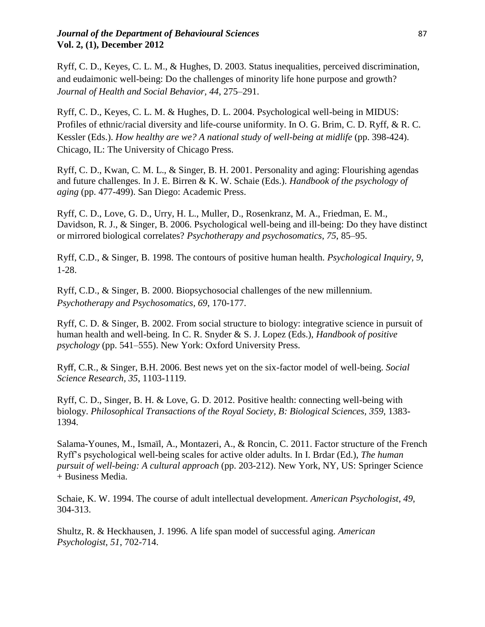# *Journal of the Department of Behavioural Sciences* **87 Vol. 2, (1), December 2012**

Ryff, C. D., Keyes, C. L. M., & Hughes, D. 2003. Status inequalities, perceived discrimination, and eudaimonic well-being: Do the challenges of minority life hone purpose and growth? *Journal of Health and Social Behavior, 44*, 275–291.

Ryff, C. D., Keyes, C. L. M. & Hughes, D. L. 2004. Psychological well-being in MIDUS: Profiles of ethnic/racial diversity and life-course uniformity. In O. G. Brim, C. D. Ryff, & R. C. Kessler (Eds.). *How healthy are we? A national study of well-being at midlife* (pp. 398-424). Chicago, IL: The University of Chicago Press.

Ryff, C. D., Kwan, C. M. L., & Singer, B. H. 2001. Personality and aging: Flourishing agendas and future challenges. In J. E. Birren & K. W. Schaie (Eds.). *Handbook of the psychology of aging* (pp. 477-499). San Diego: Academic Press.

Ryff, C. D., Love, G. D., Urry, H. L., Muller, D., Rosenkranz, M. A., Friedman, E. M., Davidson, R. J., & Singer, B. 2006. Psychological well-being and ill-being: Do they have distinct or mirrored biological correlates? *Psychotherapy and psychosomatics*, *75*, 85–95.

Ryff, C.D., & Singer, B. 1998. The contours of positive human health. *Psychological Inquiry, 9*, 1-28.

Ryff, C.D., & Singer, B. 2000. Biopsychosocial challenges of the new millennium. *Psychotherapy and Psychosomatics, 69*, 170-177.

Ryff, C. D. & Singer, B. 2002. From social structure to biology: integrative science in pursuit of human health and well-being. In C. R. Snyder & S. J. Lopez (Eds.), *Handbook of positive psychology* (pp. 541–555). New York: Oxford University Press.

Ryff, C.R., & Singer, B.H. 2006. Best news yet on the six-factor model of well-being. *Social Science Research, 35*, 1103-1119.

Ryff, C. D., Singer, B. H. & Love, G. D. 2012. Positive health: connecting well-being with biology. *Philosophical Transactions of the Royal Society, B: Biological Sciences, 359*, 1383- 1394.

Salama-Younes, M., Ismaïl, A., Montazeri, A., & Roncin, C. 2011. Factor structure of the French Ryff"s psychological well-being scales for active older adults. In I. Brdar (Ed.), *The human pursuit of well-being: A cultural approach* (pp. 203-212). New York, NY, US: Springer Science + Business Media.

Schaie, K. W. 1994. The course of adult intellectual development. *American Psychologist*, *49*, 304-313.

Shultz, R. & Heckhausen, J. 1996. A life span model of successful aging. *American Psychologist, 51*, 702-714.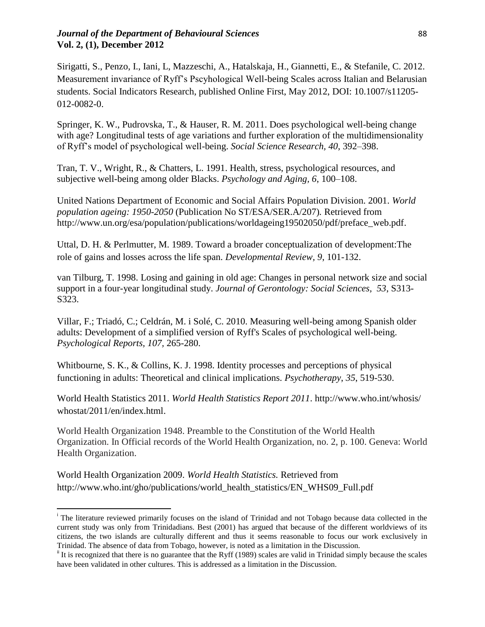# *Journal of the Department of Behavioural Sciences* 88 **Vol. 2, (1), December 2012**

Sirigatti, S., Penzo, I., Iani, L, Mazzeschi, A., Hatalskaja, H., Giannetti, E., & Stefanile, C. 2012. Measurement invariance of Ryff"s Pscyhological Well-being Scales across Italian and Belarusian students. Social Indicators Research, published Online First, May 2012, DOI: 10.1007/s11205- 012-0082-0.

Springer, K. W., Pudrovska, T., & Hauser, R. M. 2011. Does psychological well-being change with age? Longitudinal tests of age variations and further exploration of the multidimensionality of Ryff"s model of psychological well-being. *Social Science Research, 40*, 392–398.

Tran, T. V., Wright, R., & Chatters, L. 1991. Health, stress, psychological resources, and subjective well-being among older Blacks. *Psychology and Aging, 6*, 100–108.

United Nations Department of Economic and Social Affairs Population Division. 2001. *World population ageing: 1950-2050* (Publication No ST/ESA/SER.A/207)*.* Retrieved from [http://www.un.org/esa/population/publications/worldageing19502050/pdf/preface\\_web.pdf.](http://www.un.org/esa/population/publications/worldageing19502050/pdf/preface_web.pdf)

Uttal, D. H. & Perlmutter, M. 1989. Toward a broader conceptualization of development:The role of gains and losses across the life span. *Developmental Review, 9*, 101-132.

van Tilburg, T. 1998. Losing and gaining in old age: Changes in personal network size and social support in a four-year longitudinal study. *Journal of Gerontology: Social Sciences, 53*, S313- S323.

Villar, F.; Triadó, C.; Celdrán, M. i Solé, C. 2010. Measuring well-being among Spanish older adults: Development of a simplified version of Ryff's Scales of psychological well-being. *Psychological Reports, 107,* 265-280.

Whitbourne, S. K., & Collins, K. J. 1998. Identity processes and perceptions of physical functioning in adults: Theoretical and clinical implications. *Psychotherapy*, *35*, 519-530.

World Health Statistics 2011. *World Health Statistics Report 2011*. [http://www.who.int/whosis/](http://www.who.int/whosis/%20whostat/2011/en/index.html)  [whostat/2011/en/index.html.](http://www.who.int/whosis/%20whostat/2011/en/index.html)

World Health Organization 1948. Preamble to the Constitution of the World Health Organization. In Official records of the World Health Organization, no. 2, p. 100. Geneva: World Health Organization.

World Health Organization 2009. *World Health Statistics.* Retrieved from [http://www.who.int/gho/publications/world\\_health\\_statistics/EN\\_WHS09\\_Full.pdf](http://www.who.int/gho/publications/world_health_statistics/EN_WHS09_Full.pdf)

l

<sup>&</sup>lt;sup>i</sup> The literature reviewed primarily focuses on the island of Trinidad and not Tobago because data collected in the current study was only from Trinidadians. Best (2001) has argued that because of the different worldviews of its citizens, the two islands are culturally different and thus it seems reasonable to focus our work exclusively in Trinidad. The absence of data from Tobago, however, is noted as a limitation in the Discussion.

 $\mathbf{u}$  It is recognized that there is no guarantee that the Ryff (1989) scales are valid in Trinidad simply because the scales have been validated in other cultures. This is addressed as a limitation in the Discussion.